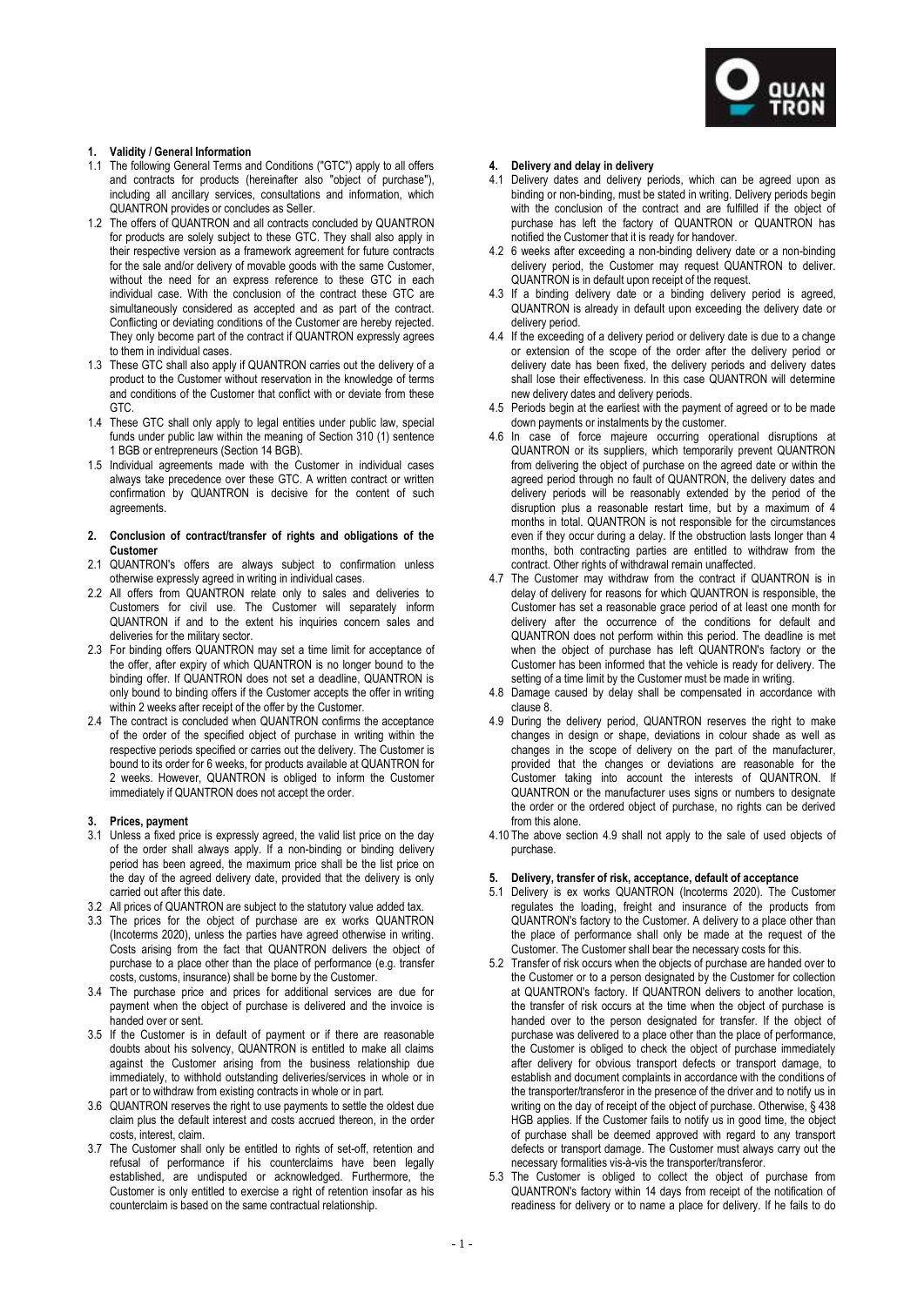

# **1. Validity / General Information**

- 1.1 The following General Terms and Conditions ("GTC") apply to all offers and contracts for products (hereinafter also "object of purchase"), including all ancillary services, consultations and information, which QUANTRON provides or concludes as Seller.
- 1.2 The offers of QUANTRON and all contracts concluded by QUANTRON for products are solely subject to these GTC. They shall also apply in their respective version as a framework agreement for future contracts for the sale and/or delivery of movable goods with the same Customer, without the need for an express reference to these GTC in each individual case. With the conclusion of the contract these GTC are simultaneously considered as accepted and as part of the contract. Conflicting or deviating conditions of the Customer are hereby rejected. They only become part of the contract if QUANTRON expressly agrees to them in individual cases.
- 1.3 These GTC shall also apply if QUANTRON carries out the delivery of a product to the Customer without reservation in the knowledge of terms and conditions of the Customer that conflict with or deviate from these GTC.
- 1.4 These GTC shall only apply to legal entities under public law, special funds under public law within the meaning of Section 310 (1) sentence 1 BGB or entrepreneurs (Section 14 BGB).
- 1.5 Individual agreements made with the Customer in individual cases always take precedence over these GTC. A written contract or written confirmation by QUANTRON is decisive for the content of such agreements.
- **2. Conclusion of contract/transfer of rights and obligations of the Customer**
- 2.1 QUANTRON's offers are always subject to confirmation unless otherwise expressly agreed in writing in individual cases.
- 2.2 All offers from QUANTRON relate only to sales and deliveries to Customers for civil use. The Customer will separately inform QUANTRON if and to the extent his inquiries concern sales and deliveries for the military sector.
- 2.3 For binding offers QUANTRON may set a time limit for acceptance of the offer, after expiry of which QUANTRON is no longer bound to the binding offer. If QUANTRON does not set a deadline, QUANTRON is only bound to binding offers if the Customer accepts the offer in writing within 2 weeks after receipt of the offer by the Customer.
- 2.4 The contract is concluded when QUANTRON confirms the acceptance of the order of the specified object of purchase in writing within the respective periods specified or carries out the delivery. The Customer is bound to its order for 6 weeks, for products available at QUANTRON for 2 weeks. However, QUANTRON is obliged to inform the Customer immediately if QUANTRON does not accept the order.

### **3. Prices, payment**

- 3.1 Unless a fixed price is expressly agreed, the valid list price on the day of the order shall always apply. If a non-binding or binding delivery period has been agreed, the maximum price shall be the list price on the day of the agreed delivery date, provided that the delivery is only carried out after this date.
- 3.2 All prices of QUANTRON are subject to the statutory value added tax.
- 3.3 The prices for the object of purchase are ex works QUANTRON (Incoterms 2020), unless the parties have agreed otherwise in writing. Costs arising from the fact that QUANTRON delivers the object of purchase to a place other than the place of performance (e.g. transfer costs, customs, insurance) shall be borne by the Customer.
- 3.4 The purchase price and prices for additional services are due for payment when the object of purchase is delivered and the invoice is handed over or sent.
- 3.5 If the Customer is in default of payment or if there are reasonable doubts about his solvency, QUANTRON is entitled to make all claims against the Customer arising from the business relationship due immediately, to withhold outstanding deliveries/services in whole or in part or to withdraw from existing contracts in whole or in part.
- 3.6 QUANTRON reserves the right to use payments to settle the oldest due claim plus the default interest and costs accrued thereon, in the order costs, interest, claim.
- 3.7 The Customer shall only be entitled to rights of set-off, retention and refusal of performance if his counterclaims have been legally established, are undisputed or acknowledged. Furthermore, the Customer is only entitled to exercise a right of retention insofar as his counterclaim is based on the same contractual relationship.

# **4. Delivery and delay in delivery**

- 4.1 Delivery dates and delivery periods, which can be agreed upon as binding or non-binding, must be stated in writing. Delivery periods begin with the conclusion of the contract and are fulfilled if the object of purchase has left the factory of QUANTRON or QUANTRON has notified the Customer that it is ready for handover.
- 4.2 6 weeks after exceeding a non-binding delivery date or a non-binding delivery period, the Customer may request QUANTRON to deliver. QUANTRON is in default upon receipt of the request.
- 4.3 If a binding delivery date or a binding delivery period is agreed, QUANTRON is already in default upon exceeding the delivery date or delivery period.
- 4.4 If the exceeding of a delivery period or delivery date is due to a change or extension of the scope of the order after the delivery period or delivery date has been fixed, the delivery periods and delivery dates shall lose their effectiveness. In this case QUANTRON will determine new delivery dates and delivery periods.
- 4.5 Periods begin at the earliest with the payment of agreed or to be made down payments or instalments by the customer.
- 4.6 In case of force majeure occurring operational disruptions at QUANTRON or its suppliers, which temporarily prevent QUANTRON from delivering the object of purchase on the agreed date or within the agreed period through no fault of QUANTRON, the delivery dates and delivery periods will be reasonably extended by the period of the disruption plus a reasonable restart time, but by a maximum of 4 months in total. QUANTRON is not responsible for the circumstances even if they occur during a delay. If the obstruction lasts longer than 4 months, both contracting parties are entitled to withdraw from the contract. Other rights of withdrawal remain unaffected.
- 4.7 The Customer may withdraw from the contract if QUANTRON is in delay of delivery for reasons for which QUANTRON is responsible, the Customer has set a reasonable grace period of at least one month for delivery after the occurrence of the conditions for default and QUANTRON does not perform within this period. The deadline is met when the object of purchase has left QUANTRON's factory or the Customer has been informed that the vehicle is ready for delivery. The setting of a time limit by the Customer must be made in writing.
- 4.8 Damage caused by delay shall be compensated in accordance with clause 8.
- 4.9 During the delivery period, QUANTRON reserves the right to make changes in design or shape, deviations in colour shade as well as changes in the scope of delivery on the part of the manufacturer, provided that the changes or deviations are reasonable for the Customer taking into account the interests of QUANTRON. If QUANTRON or the manufacturer uses signs or numbers to designate the order or the ordered object of purchase, no rights can be derived from this alone.
- 4.10 The above section 4.9 shall not apply to the sale of used objects of purchase.

# **5. Delivery, transfer of risk, acceptance, default of acceptance**

- 5.1 Delivery is ex works QUANTRON (Incoterms 2020). The Customer regulates the loading, freight and insurance of the products from QUANTRON's factory to the Customer. A delivery to a place other than the place of performance shall only be made at the request of the Customer. The Customer shall bear the necessary costs for this.
- 5.2 Transfer of risk occurs when the objects of purchase are handed over to the Customer or to a person designated by the Customer for collection at QUANTRON's factory. If QUANTRON delivers to another location, the transfer of risk occurs at the time when the object of purchase is handed over to the person designated for transfer. If the object of purchase was delivered to a place other than the place of performance, the Customer is obliged to check the object of purchase immediately after delivery for obvious transport defects or transport damage, to establish and document complaints in accordance with the conditions of the transporter/transferor in the presence of the driver and to notify us in writing on the day of receipt of the object of purchase. Otherwise, § 438 HGB applies. If the Customer fails to notify us in good time, the object of purchase shall be deemed approved with regard to any transport defects or transport damage. The Customer must always carry out the necessary formalities vis-à-vis the transporter/transferor.
- 5.3 The Customer is obliged to collect the object of purchase from QUANTRON's factory within 14 days from receipt of the notification of readiness for delivery or to name a place for delivery. If he fails to do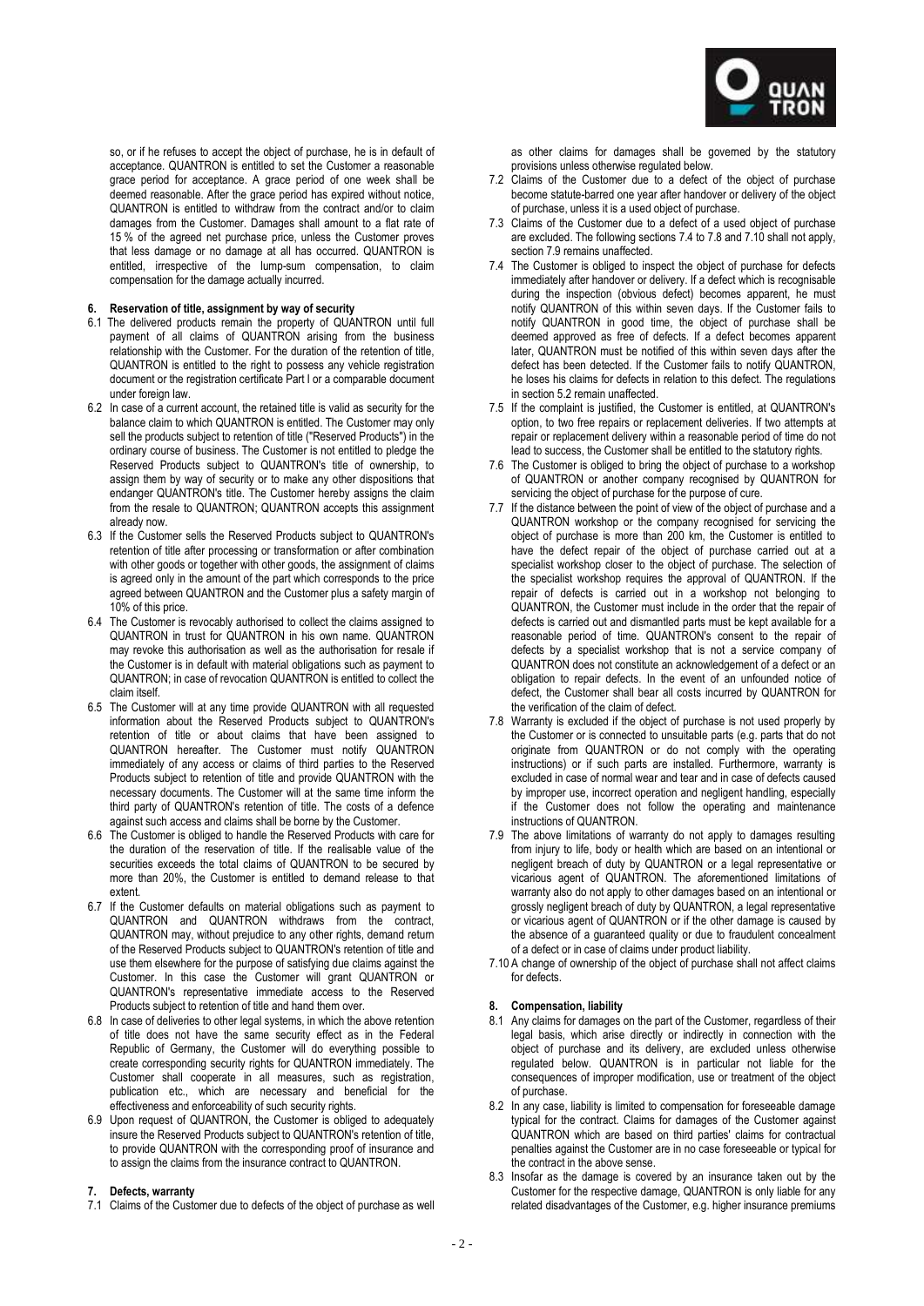

so, or if he refuses to accept the object of purchase, he is in default of acceptance. QUANTRON is entitled to set the Customer a reasonable grace period for acceptance. A grace period of one week shall be deemed reasonable. After the grace period has expired without notice, QUANTRON is entitled to withdraw from the contract and/or to claim damages from the Customer. Damages shall amount to a flat rate of 15 % of the agreed net purchase price, unless the Customer proves that less damage or no damage at all has occurred. QUANTRON is entitled, irrespective of the lump-sum compensation, to claim compensation for the damage actually incurred.

## **6. Reservation of title, assignment by way of security**

- 6.1 The delivered products remain the property of QUANTRON until full payment of all claims of QUANTRON arising from the business relationship with the Customer. For the duration of the retention of title, QUANTRON is entitled to the right to possess any vehicle registration document or the registration certificate Part I or a comparable document under foreign law.
- 6.2 In case of a current account, the retained title is valid as security for the balance claim to which QUANTRON is entitled. The Customer may only sell the products subject to retention of title ("Reserved Products") in the ordinary course of business. The Customer is not entitled to pledge the Reserved Products subject to QUANTRON's title of ownership, to assign them by way of security or to make any other dispositions that endanger QUANTRON's title. The Customer hereby assigns the claim from the resale to QUANTRON; QUANTRON accepts this assignment already now.
- 6.3 If the Customer sells the Reserved Products subject to QUANTRON's retention of title after processing or transformation or after combination with other goods or together with other goods, the assignment of claims is agreed only in the amount of the part which corresponds to the price agreed between QUANTRON and the Customer plus a safety margin of 10% of this price.
- 6.4 The Customer is revocably authorised to collect the claims assigned to QUANTRON in trust for QUANTRON in his own name. QUANTRON may revoke this authorisation as well as the authorisation for resale if the Customer is in default with material obligations such as payment to QUANTRON; in case of revocation QUANTRON is entitled to collect the claim itself.
- 6.5 The Customer will at any time provide QUANTRON with all requested information about the Reserved Products subject to QUANTRON's retention of title or about claims that have been assigned to QUANTRON hereafter. The Customer must notify QUANTRON immediately of any access or claims of third parties to the Reserved Products subject to retention of title and provide QUANTRON with the necessary documents. The Customer will at the same time inform the third party of QUANTRON's retention of title. The costs of a defence against such access and claims shall be borne by the Customer.
- 6.6 The Customer is obliged to handle the Reserved Products with care for the duration of the reservation of title. If the realisable value of the securities exceeds the total claims of QUANTRON to be secured by more than 20%, the Customer is entitled to demand release to that extent.
- 6.7 If the Customer defaults on material obligations such as payment to QUANTRON and QUANTRON withdraws from the contract, QUANTRON may, without prejudice to any other rights, demand return of the Reserved Products subject to QUANTRON's retention of title and use them elsewhere for the purpose of satisfying due claims against the Customer. In this case the Customer will grant QUANTRON or QUANTRON's representative immediate access to the Reserved Products subject to retention of title and hand them over.
- 6.8 In case of deliveries to other legal systems, in which the above retention of title does not have the same security effect as in the Federal Republic of Germany, the Customer will do everything possible to create corresponding security rights for QUANTRON immediately. The Customer shall cooperate in all measures, such as registration, publication etc., which are necessary and beneficial for the effectiveness and enforceability of such security rights.
- 6.9 Upon request of QUANTRON, the Customer is obliged to adequately insure the Reserved Products subject to QUANTRON's retention of title, to provide QUANTRON with the corresponding proof of insurance and to assign the claims from the insurance contract to QUANTRON.

#### **7. Defects, warranty**

7.1 Claims of the Customer due to defects of the object of purchase as well

as other claims for damages shall be governed by the statutory provisions unless otherwise regulated below.

- 7.2 Claims of the Customer due to a defect of the object of purchase become statute-barred one year after handover or delivery of the object of purchase, unless it is a used object of purchase.
- 7.3 Claims of the Customer due to a defect of a used object of purchase are excluded. The following sections 7.4 to 7.8 and 7.10 shall not apply, section 7.9 remains unaffected.
- 7.4 The Customer is obliged to inspect the object of purchase for defects immediately after handover or delivery. If a defect which is recognisable during the inspection (obvious defect) becomes apparent, he must notify QUANTRON of this within seven days. If the Customer fails to notify QUANTRON in good time, the object of purchase shall be deemed approved as free of defects. If a defect becomes apparent later, QUANTRON must be notified of this within seven days after the defect has been detected. If the Customer fails to notify QUANTRON, he loses his claims for defects in relation to this defect. The regulations in section 5.2 remain unaffected.
- 7.5 If the complaint is justified, the Customer is entitled, at QUANTRON's option, to two free repairs or replacement deliveries. If two attempts at repair or replacement delivery within a reasonable period of time do not lead to success, the Customer shall be entitled to the statutory rights.
- 7.6 The Customer is obliged to bring the object of purchase to a workshop of QUANTRON or another company recognised by QUANTRON for servicing the object of purchase for the purpose of cure.
- 7.7 If the distance between the point of view of the object of purchase and a QUANTRON workshop or the company recognised for servicing the object of purchase is more than 200 km, the Customer is entitled to have the defect repair of the object of purchase carried out at a specialist workshop closer to the object of purchase. The selection of the specialist workshop requires the approval of QUANTRON. If the repair of defects is carried out in a workshop not belonging to QUANTRON, the Customer must include in the order that the repair of defects is carried out and dismantled parts must be kept available for a reasonable period of time. QUANTRON's consent to the repair of defects by a specialist workshop that is not a service company of QUANTRON does not constitute an acknowledgement of a defect or an obligation to repair defects. In the event of an unfounded notice of defect, the Customer shall bear all costs incurred by QUANTRON for the verification of the claim of defect.
- 7.8 Warranty is excluded if the object of purchase is not used properly by the Customer or is connected to unsuitable parts (e.g. parts that do not originate from QUANTRON or do not comply with the operating instructions) or if such parts are installed. Furthermore, warranty is excluded in case of normal wear and tear and in case of defects caused by improper use, incorrect operation and negligent handling, especially if the Customer does not follow the operating and maintenance instructions of QUANTRON.
- 7.9 The above limitations of warranty do not apply to damages resulting from injury to life, body or health which are based on an intentional or negligent breach of duty by QUANTRON or a legal representative or vicarious agent of QUANTRON. The aforementioned limitations of warranty also do not apply to other damages based on an intentional or grossly negligent breach of duty by QUANTRON, a legal representative or vicarious agent of QUANTRON or if the other damage is caused by the absence of a guaranteed quality or due to fraudulent concealment of a defect or in case of claims under product liability.
- 7.10 A change of ownership of the object of purchase shall not affect claims for defects.

#### **8. Compensation, liability**

- 8.1 Any claims for damages on the part of the Customer, regardless of their legal basis, which arise directly or indirectly in connection with the object of purchase and its delivery, are excluded unless otherwise regulated below. QUANTRON is in particular not liable for the consequences of improper modification, use or treatment of the object of purchase.
- 8.2 In any case, liability is limited to compensation for foreseeable damage typical for the contract. Claims for damages of the Customer against QUANTRON which are based on third parties' claims for contractual penalties against the Customer are in no case foreseeable or typical for the contract in the above sense.
- 8.3 Insofar as the damage is covered by an insurance taken out by the Customer for the respective damage, QUANTRON is only liable for any related disadvantages of the Customer, e.g. higher insurance premiums